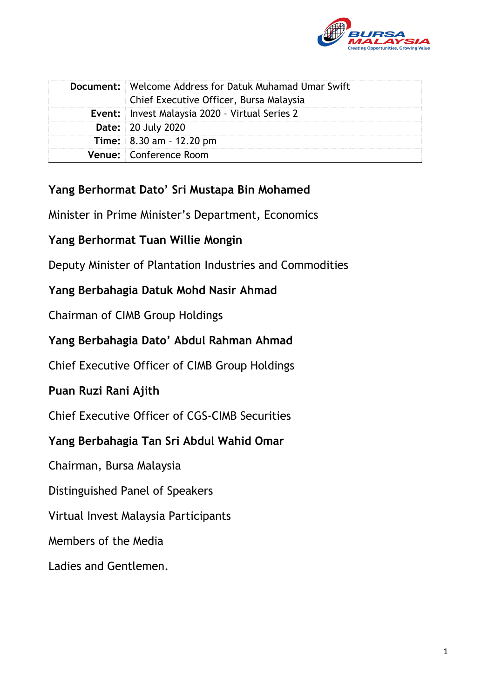

| <b>Document:</b> Welcome Address for Datuk Muhamad Umar Swift<br>Chief Executive Officer, Bursa Malaysia |
|----------------------------------------------------------------------------------------------------------|
| <b>Event:</b> Invest Malaysia 2020 - Virtual Series 2                                                    |
| <b>Date: 20 July 2020</b>                                                                                |
| <b>Time:</b> $8.30$ am $- 12.20$ pm                                                                      |
| Venue: Conference Room                                                                                   |

# **Yang Berhormat Dato' Sri Mustapa Bin Mohamed**

Minister in Prime Minister's Department, Economics

# **Yang Berhormat Tuan Willie Mongin**

Deputy Minister of Plantation Industries and Commodities

# **Yang Berbahagia Datuk Mohd Nasir Ahmad**

Chairman of CIMB Group Holdings

# **Yang Berbahagia Dato' Abdul Rahman Ahmad**

Chief Executive Officer of CIMB Group Holdings

# **Puan Ruzi Rani Ajith**

Chief Executive Officer of CGS-CIMB Securities

# **Yang Berbahagia Tan Sri Abdul Wahid Omar**

Chairman, Bursa Malaysia

Distinguished Panel of Speakers

Virtual Invest Malaysia Participants

Members of the Media

# Ladies and Gentlemen.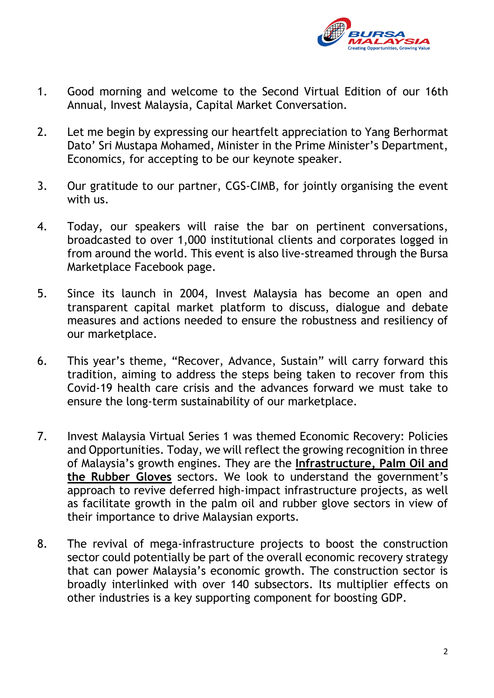

- 1. Good morning and welcome to the Second Virtual Edition of our 16th Annual, Invest Malaysia, Capital Market Conversation.
- 2. Let me begin by expressing our heartfelt appreciation to Yang Berhormat Dato' Sri Mustapa Mohamed, Minister in the Prime Minister's Department, Economics, for accepting to be our keynote speaker.
- 3. Our gratitude to our partner, CGS-CIMB, for jointly organising the event with us.
- 4. Today, our speakers will raise the bar on pertinent conversations, broadcasted to over 1,000 institutional clients and corporates logged in from around the world. This event is also live-streamed through the Bursa Marketplace Facebook page.
- 5. Since its launch in 2004, Invest Malaysia has become an open and transparent capital market platform to discuss, dialogue and debate measures and actions needed to ensure the robustness and resiliency of our marketplace.
- 6. This year's theme, "Recover, Advance, Sustain" will carry forward this tradition, aiming to address the steps being taken to recover from this Covid-19 health care crisis and the advances forward we must take to ensure the long-term sustainability of our marketplace.
- 7. Invest Malaysia Virtual Series 1 was themed Economic Recovery: Policies and Opportunities. Today, we will reflect the growing recognition in three of Malaysia's growth engines. They are the **Infrastructure, Palm Oil and the Rubber Gloves** sectors. We look to understand the government's approach to revive deferred high-impact infrastructure projects, as well as facilitate growth in the palm oil and rubber glove sectors in view of their importance to drive Malaysian exports.
- 8. The revival of mega-infrastructure projects to boost the construction sector could potentially be part of the overall economic recovery strategy that can power Malaysia's economic growth. The construction sector is broadly interlinked with over 140 subsectors. Its multiplier effects on other industries is a key supporting component for boosting GDP.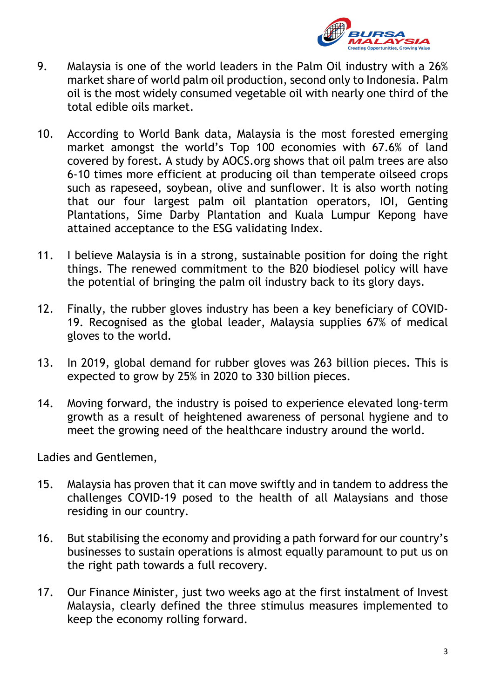

- 9. Malaysia is one of the world leaders in the Palm Oil industry with a 26% market share of world palm oil production, second only to Indonesia. Palm oil is the most widely consumed vegetable oil with nearly one third of the total edible oils market.
- 10. According to World Bank data, Malaysia is the most forested emerging market amongst the world's Top 100 economies with 67.6% of land covered by forest. A study by AOCS.org shows that oil palm trees are also 6-10 times more efficient at producing oil than temperate oilseed crops such as rapeseed, soybean, olive and sunflower. It is also worth noting that our four largest palm oil plantation operators, IOI, Genting Plantations, Sime Darby Plantation and Kuala Lumpur Kepong have attained acceptance to the ESG validating Index.
- 11. I believe Malaysia is in a strong, sustainable position for doing the right things. The renewed commitment to the B20 biodiesel policy will have the potential of bringing the palm oil industry back to its glory days.
- 12. Finally, the rubber gloves industry has been a key beneficiary of COVID-19. Recognised as the global leader, Malaysia supplies 67% of medical gloves to the world.
- 13. In 2019, global demand for rubber gloves was 263 billion pieces. This is expected to grow by 25% in 2020 to 330 billion pieces.
- 14. Moving forward, the industry is poised to experience elevated long-term growth as a result of heightened awareness of personal hygiene and to meet the growing need of the healthcare industry around the world.

Ladies and Gentlemen,

- 15. Malaysia has proven that it can move swiftly and in tandem to address the challenges COVID-19 posed to the health of all Malaysians and those residing in our country.
- 16. But stabilising the economy and providing a path forward for our country's businesses to sustain operations is almost equally paramount to put us on the right path towards a full recovery.
- 17. Our Finance Minister, just two weeks ago at the first instalment of Invest Malaysia, clearly defined the three stimulus measures implemented to keep the economy rolling forward.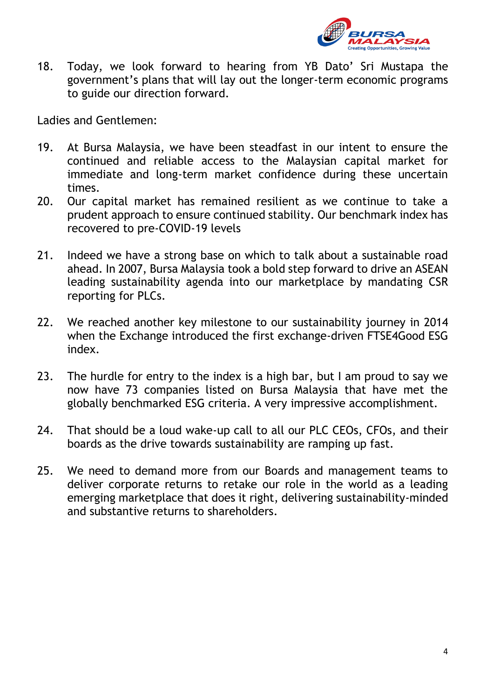

18. Today, we look forward to hearing from YB Dato' Sri Mustapa the government's plans that will lay out the longer-term economic programs to guide our direction forward.

Ladies and Gentlemen:

- 19. At Bursa Malaysia, we have been steadfast in our intent to ensure the continued and reliable access to the Malaysian capital market for immediate and long-term market confidence during these uncertain times.
- 20. Our capital market has remained resilient as we continue to take a prudent approach to ensure continued stability. Our benchmark index has recovered to pre-COVID-19 levels
- 21. Indeed we have a strong base on which to talk about a sustainable road ahead. In 2007, Bursa Malaysia took a bold step forward to drive an ASEAN leading sustainability agenda into our marketplace by mandating CSR reporting for PLCs.
- 22. We reached another key milestone to our sustainability journey in 2014 when the Exchange introduced the first exchange-driven FTSE4Good ESG index.
- 23. The hurdle for entry to the index is a high bar, but I am proud to say we now have 73 companies listed on Bursa Malaysia that have met the globally benchmarked ESG criteria. A very impressive accomplishment.
- 24. That should be a loud wake-up call to all our PLC CEOs, CFOs, and their boards as the drive towards sustainability are ramping up fast.
- 25. We need to demand more from our Boards and management teams to deliver corporate returns to retake our role in the world as a leading emerging marketplace that does it right, delivering sustainability-minded and substantive returns to shareholders.